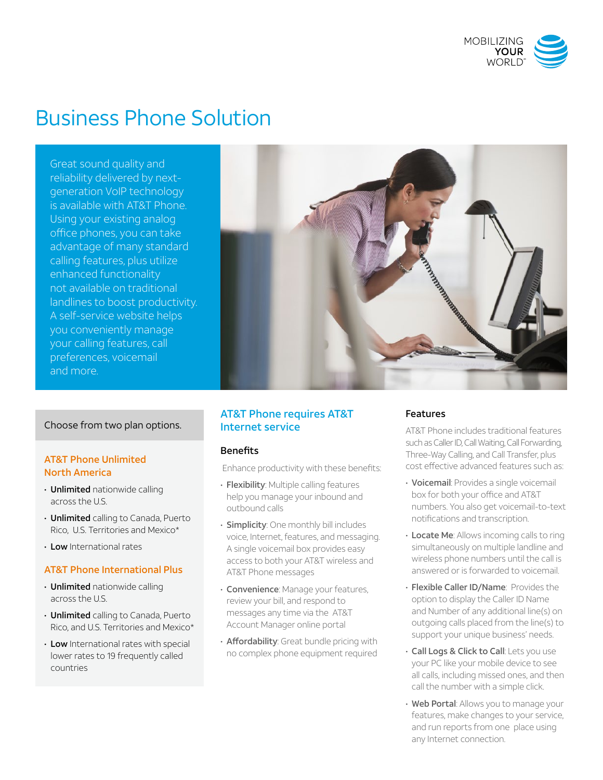

# Business Phone Solution

Great sound quality and reliability delivered by nextgeneration VoIP technology is available with AT&T Phone. Using your existing analog office phones, you can take advantage of many standard calling features, plus utilize enhanced functionality not available on traditional landlines to boost productivity. A self-service website helps you conveniently manage your calling features, call preferences, voicemail and more.

## Choose from two plan options.

## AT&T Phone Unlimited North America

- Unlimited nationwide calling across the U.S.
- Unlimited calling to Canada, Puerto Rico, U.S. Territories and Mexico\*
- Low International rates

## AT&T Phone International Plus

- Unlimited nationwide calling across the U.S.
- Unlimited calling to Canada, Puerto Rico, and U.S. Territories and Mexico\*
- Low International rates with special lower rates to 19 frequently called countries



## AT&T Phone requires AT&T Internet service

## Benefits

Enhance productivity with these benefits:

- Flexibility: Multiple calling features help you manage your inbound and outbound calls
- **Simplicity**: One monthly bill includes voice, Internet, features, and messaging. A single voicemail box provides easy access to both your AT&T wireless and AT&T Phone messages
- **Convenience:** Manage your features, review your bill, and respond to messages any time via the AT&T Account Manager online portal
- Affordability: Great bundle pricing with no complex phone equipment required

## Features

AT&T Phone includes traditional features such as Caller ID, Call Waiting, Call Forwarding, Three-Way Calling, and Call Transfer, plus cost effective advanced features such as:

- Voicemail: Provides a single voicemail box for both your office and AT&T numbers. You also get voicemail-to-text notifications and transcription.
- Locate Me: Allows incoming calls to ring simultaneously on multiple landline and wireless phone numbers until the call is answered or is forwarded to voicemail.
- Flexible Caller ID/Name: Provides the option to display the Caller ID Name and Number of any additional line(s) on outgoing calls placed from the line(s) to support your unique business' needs.
- Call Logs & Click to Call: Lets you use your PC like your mobile device to see all calls, including missed ones, and then call the number with a simple click.
- Web Portal: Allows you to manage your features, make changes to your service, and run reports from one place using any Internet connection.